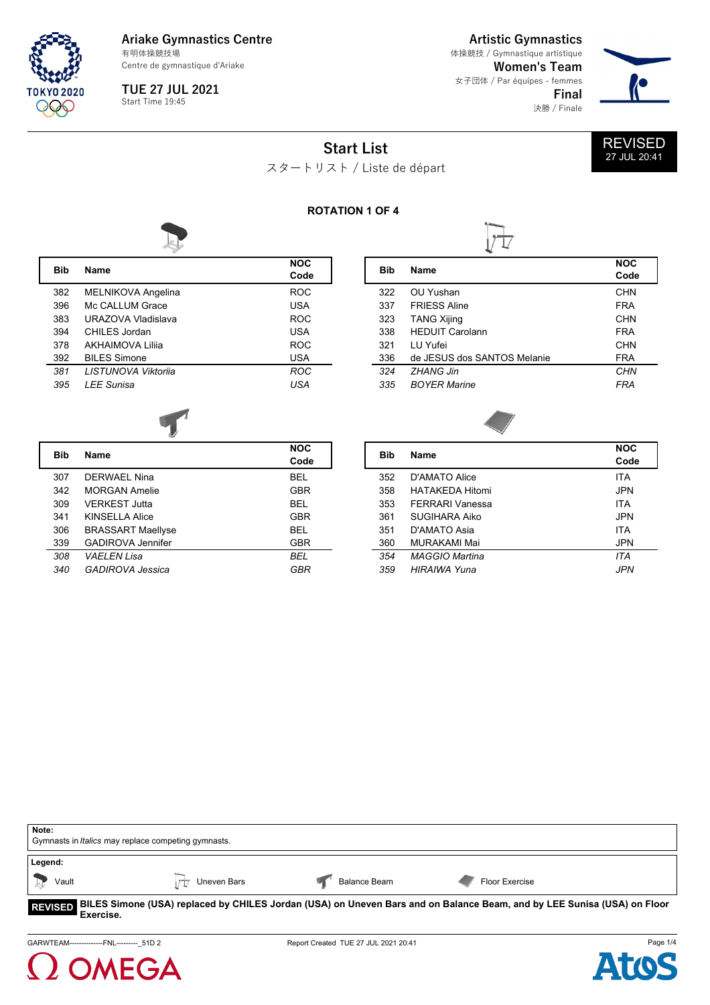

**TUE 27 JUL 2021**  $Start Time 19:45$ 

**Artistic Gymnastics** 体操競技 / Gymnastique artistique

**Women's Team** 女子団体 / Par équipes - femmes **Final** 決勝 / Finale



**Start List**



スタートリスト / Liste de départ

## **ROTATION 1 OF 4**



**Bib Name NOC**

| <b>Bib</b> | <b>Name</b>               | <b>NOC</b><br>Code |
|------------|---------------------------|--------------------|
| 382        | <b>MELNIKOVA Angelina</b> | <b>ROC</b>         |
| 396        | Mc CALLUM Grace           | <b>USA</b>         |
| 383        | URAZOVA Vladislava        | <b>ROC</b>         |
| 394        | CHII FS Jordan            | USA                |
| 378        | AKHAIMOVA Lilija          | <b>ROC</b>         |
| 392        | <b>BILES Simone</b>       | <b>USA</b>         |
| 381        | LISTUNOVA Viktorija       | <b>ROC</b>         |
| 395        | <b>LEE Sunisa</b>         | USA                |





| Bib | <b>Name</b>              | <b>NOC</b><br>Code |
|-----|--------------------------|--------------------|
| 307 | DERWAFI Nina             | <b>BEL</b>         |
| 342 | MORGAN Amelie            | GBR                |
| 309 | <b>VERKEST Jutta</b>     | BEL                |
| 341 | KINSELLA Alice           | <b>GBR</b>         |
| 306 | <b>BRASSART Maellyse</b> | BFI                |
| 339 | <b>GADIROVA Jennifer</b> | <b>GBR</b>         |
| 308 | <b>VAELEN Lisa</b>       | BEL                |
| 340 | GADIROVA Jessica         | GBR                |

| Bib | <b>Name</b>           | <b>NOC</b><br>Code |
|-----|-----------------------|--------------------|
|     |                       |                    |
| 352 | D'AMATO Alice         | <b>ITA</b>         |
| 358 | HATAKFDA Hitomi       | JPN                |
| 353 | FFRRARI Vanessa       | <b>ITA</b>         |
| 361 | SUGIHARA Aiko         | JPN                |
| 351 | D'AMATO Asia          | <b>ITA</b>         |
| 360 | MURAKAMI Mai          | <b>JPN</b>         |
| 354 | <b>MAGGIO Martina</b> | ITA                |
| 359 | HIRAIWA Yuna          | JPN                |
|     |                       |                    |

| Note:            | Gymnasts in <i>Italics</i> may replace competing gymnasts. |                     |                                                                                                                                 |  |
|------------------|------------------------------------------------------------|---------------------|---------------------------------------------------------------------------------------------------------------------------------|--|
| Legend:<br>Vault | Uneven Bars                                                | <b>Balance Beam</b> | Floor Exercise                                                                                                                  |  |
| <b>F</b> vercise |                                                            |                     | REVISED BILES Simone (USA) replaced by CHILES Jordan (USA) on Uneven Bars and on Balance Beam, and by LEE Sunisa (USA) on Floor |  |

**Exercise.**

GARWTEAM---------------FNL-----------\_51D 2 Report Created TUE 27 JUL 2021 20:41



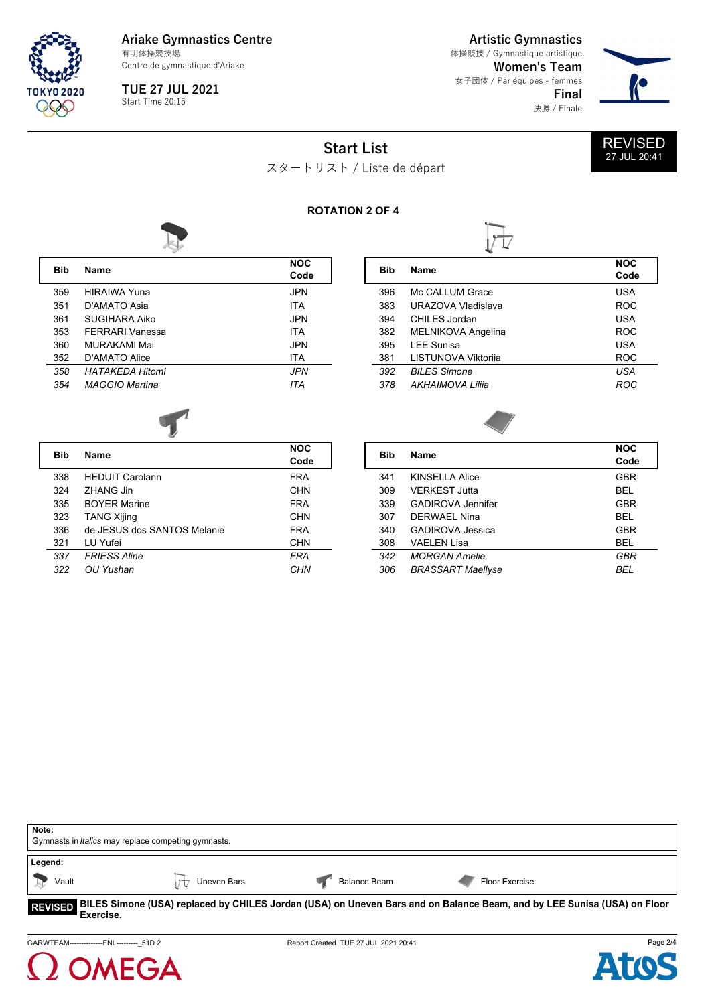

**TUE 27 JUL 2021**  $Start Time 20:15$ 

**Artistic Gymnastics**

**Women's Team** 女子団体 / Par équipes - femmes **Final** 決勝 / Finale 体操競技 / Gymnastique artistique



REVISED 27 JUL 20:41

**Start List**



## **ROTATION 2 OF 4**

L



| Bib | <b>Name</b>            | <b>NOC</b><br>Code |
|-----|------------------------|--------------------|
| 359 | <b>HIRAIWA Yuna</b>    | JPN                |
| 351 | D'AMATO Asia           | <b>ITA</b>         |
| 361 | SUGIHARA Aiko          | <b>JPN</b>         |
| 353 | FFRRARI Vanessa        | <b>ITA</b>         |
| 360 | MURAKAMI Mai           | <b>JPN</b>         |
| 352 | D'AMATO Alice          | ITA                |
| 358 | <b>HATAKFDA Hitomi</b> | <b>JPN</b>         |
| 354 | MAGGIO Martina         | <b>ITA</b>         |
|     |                        |                    |

| Bib | <b>Name</b>               | <b>NOC</b><br>Code |
|-----|---------------------------|--------------------|
| 396 | Mc CALLUM Grace           | <b>USA</b>         |
| 383 | URAZOVA Vladislava        | <b>ROC</b>         |
| 394 | CHII FS Jordan            | <b>USA</b>         |
| 382 | <b>MELNIKOVA Angelina</b> | <b>ROC</b>         |
| 395 | <b>LEE Sunisa</b>         | <b>USA</b>         |
| 381 | LISTUNOVA Viktorija       | <b>ROC</b>         |
| 392 | <b>BILES Simone</b>       | <b>USA</b>         |
| 378 | AKHAIMOVA Lilija          | ROC                |
|     |                           |                    |



| Bib | <b>Name</b>                 | <b>NOC</b><br>Code |
|-----|-----------------------------|--------------------|
| 338 | <b>HEDUIT Carolann</b>      | <b>FRA</b>         |
| 324 | 7HANG Jin                   | <b>CHN</b>         |
| 335 | <b>BOYER Marine</b>         | <b>FRA</b>         |
| 323 | <b>TANG Xijing</b>          | <b>CHN</b>         |
| 336 | de JFSUS dos SANTOS Melanie | <b>FRA</b>         |
| 321 | LU Yufei                    | <b>CHN</b>         |
| 337 | <b>FRIESS Aline</b>         | FRA                |
| 322 | OU Yushan                   | CHN                |

| <b>Name</b>              | <b>NOC</b><br>Code |
|--------------------------|--------------------|
| KINSELLA Alice           | <b>GBR</b>         |
| VERKEST Jutta            | BEL                |
| GADIROVA Jennifer        | <b>GBR</b>         |
| DERWAFI Nina             | BEL                |
| GADIROVA Jessica         | <b>GBR</b>         |
| VAFI FN Lisa             | <b>BEL</b>         |
| <b>MORGAN Amelie</b>     | GBR                |
| <b>BRASSART Maellyse</b> | BEL                |
|                          |                    |

| Note:                                                      |             |                     |                                                                                                                         |  |
|------------------------------------------------------------|-------------|---------------------|-------------------------------------------------------------------------------------------------------------------------|--|
| Gymnasts in <i>Italics</i> may replace competing gymnasts. |             |                     |                                                                                                                         |  |
| Legend:                                                    |             |                     |                                                                                                                         |  |
| Vault                                                      | Uneven Bars | <b>Balance Beam</b> | Floor Exercise                                                                                                          |  |
| <b>REVISED</b><br><b>Evercice</b>                          |             |                     | BILES Simone (USA) replaced by CHILES Jordan (USA) on Uneven Bars and on Balance Beam, and by LEE Sunisa (USA) on Floor |  |

**Exercise.**

GARWTEAM----------------FNL-----------\_51D 2 Report Created TUE 27 JUL 2021 20:41



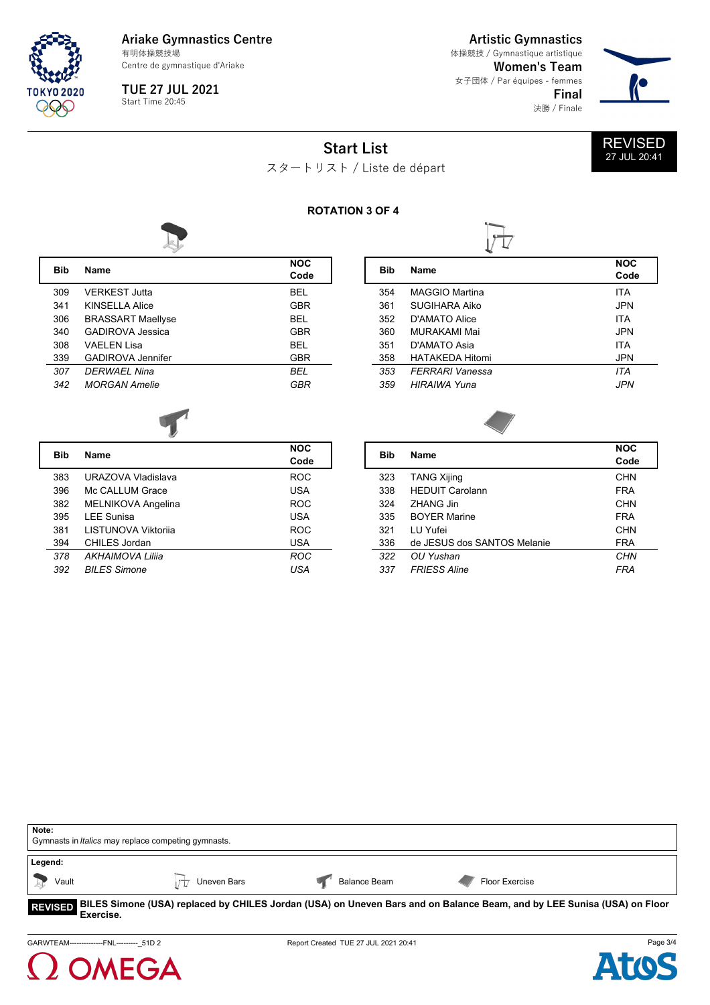

**TUE 27 JUL 2021**  $Start Time 20:45$ 

**Artistic Gymnastics**

**Women's Team** 女子団体 / Par équipes - femmes **Final** 決勝 / Finale 体操競技 / Gymnastique artistique



REVISED 27 JUL 20:41

**Start List**



L

L

## **ROTATION 3 OF 4**



| <b>Bib</b> | <b>Name</b>              | <b>NOC</b><br>Code |
|------------|--------------------------|--------------------|
| 309        | VERKEST Jutta            | BEL                |
| 341        | KINSELLA Alice           | GBR                |
| 306        | <b>BRASSART Maellyse</b> | BEL                |
| 340        | GADIROVA Jessica         | <b>GBR</b>         |
| 308        | VAFI FN Lisa             | BEL                |
| 339        | GADIROVA Jennifer        | <b>GBR</b>         |
| 307        | DFRWAFI Nina             | BFI                |
| 342        | <b>MORGAN Amelie</b>     | GBR                |
|            |                          |                    |

| Bib | <b>Name</b>            | <b>NOC</b><br>Code |
|-----|------------------------|--------------------|
| 354 | MAGGIO Martina         | <b>ITA</b>         |
| 361 | SUGIHARA Aiko          | JPN                |
| 352 | D'AMATO Alice          | <b>ITA</b>         |
| 360 | MURAKAMI Mai           | JPN                |
| 351 | D'AMATO Asia           | <b>ITA</b>         |
| 358 | <b>HATAKEDA Hitomi</b> | <b>JPN</b>         |
| 353 | FFRRARI Vanessa        | ITA                |
| 359 | HIRAIWA Yuna           | JPN                |
|     |                        |                    |



| Bib | <b>Name</b>                | <b>NOC</b><br>Code |
|-----|----------------------------|--------------------|
| 383 | URAZOVA Vladislava         | <b>ROC</b>         |
| 396 | Mc CALLUM Grace            | <b>USA</b>         |
| 382 | <b>MELNIKOVA Angelina</b>  | <b>ROC</b>         |
| 395 | <b>LEE Sunisa</b>          | <b>USA</b>         |
| 381 | <b>LISTUNOVA Viktorija</b> | <b>ROC</b>         |
| 394 | CHILES Jordan              | <b>USA</b>         |
| 378 | AKHAIMOVA Lilija           | <b>ROC</b>         |
| 392 | <b>BILES Simone</b>        | USA                |

| Bib | <b>Name</b>                 | <b>NOC</b> |
|-----|-----------------------------|------------|
|     |                             | Code       |
| 323 | <b>TANG Xijing</b>          | <b>CHN</b> |
| 338 | <b>HEDUIT Carolann</b>      | <b>FRA</b> |
| 324 | ZHANG Jin                   | <b>CHN</b> |
| 335 | <b>BOYER Marine</b>         | <b>FRA</b> |
| 321 | I U Yufei                   | <b>CHN</b> |
| 336 | de JESUS dos SANTOS Melanie | FRA        |
| 322 | OU Yushan                   | CHN        |
| 337 | <b>FRIESS Aline</b>         | FRA        |

| Note:<br>Gymnasts in <i>Italics</i> may replace competing gymnasts.                                                                          |             |                     |                |  |
|----------------------------------------------------------------------------------------------------------------------------------------------|-------------|---------------------|----------------|--|
| Legend:<br>Vault                                                                                                                             | Uneven Bars | <b>Balance Beam</b> | Floor Exercise |  |
| REVISED BILES Simone (USA) replaced by CHILES Jordan (USA) on Uneven Bars and on Balance Beam, and by LEE Sunisa (USA) on Floor<br>Exercise. |             |                     |                |  |



**MEGA**